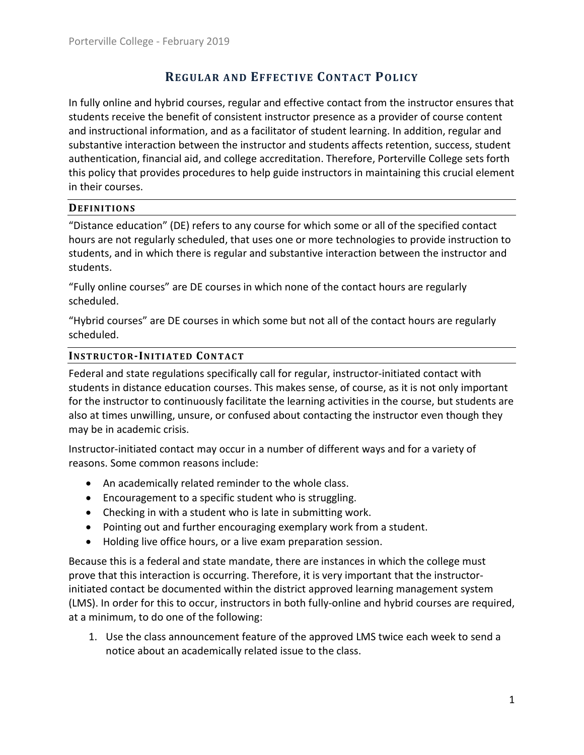# **REGULAR AND EFFECTIVE CONTACT POLICY**

In fully online and hybrid courses, regular and effective contact from the instructor ensures that students receive the benefit of consistent instructor presence as a provider of course content and instructional information, and as a facilitator of student learning. In addition, regular and substantive interaction between the instructor and students affects retention, success, student authentication, financial aid, and college accreditation. Therefore, Porterville College sets forth this policy that provides procedures to help guide instructors in maintaining this crucial element in their courses.

## **DEFINITIONS**

"Distance education" (DE) refers to any course for which some or all of the specified contact hours are not regularly scheduled, that uses one or more technologies to provide instruction to students, and in which there is regular and substantive interaction between the instructor and students.

"Fully online courses" are DE courses in which none of the contact hours are regularly scheduled.

"Hybrid courses" are DE courses in which some but not all of the contact hours are regularly scheduled.

## **INSTRUCTOR-INITIATED CONTACT**

Federal and state regulations specifically call for regular, instructor-initiated contact with students in distance education courses. This makes sense, of course, as it is not only important for the instructor to continuously facilitate the learning activities in the course, but students are also at times unwilling, unsure, or confused about contacting the instructor even though they may be in academic crisis.

Instructor-initiated contact may occur in a number of different ways and for a variety of reasons. Some common reasons include:

- An academically related reminder to the whole class.
- Encouragement to a specific student who is struggling.
- Checking in with a student who is late in submitting work.
- Pointing out and further encouraging exemplary work from a student.
- Holding live office hours, or a live exam preparation session.

Because this is a federal and state mandate, there are instances in which the college must prove that this interaction is occurring. Therefore, it is very important that the instructorinitiated contact be documented within the district approved learning management system (LMS). In order for this to occur, instructors in both fully-online and hybrid courses are required, at a minimum, to do one of the following:

1. Use the class announcement feature of the approved LMS twice each week to send a notice about an academically related issue to the class.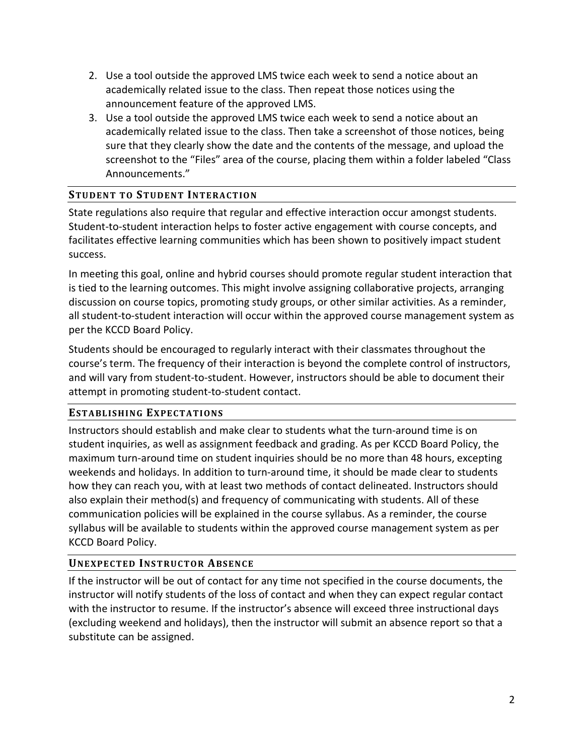- 2. Use a tool outside the approved LMS twice each week to send a notice about an academically related issue to the class. Then repeat those notices using the announcement feature of the approved LMS.
- 3. Use a tool outside the approved LMS twice each week to send a notice about an academically related issue to the class. Then take a screenshot of those notices, being sure that they clearly show the date and the contents of the message, and upload the screenshot to the "Files" area of the course, placing them within a folder labeled "Class Announcements."

# **STUDENT TO STUDENT INTERACTION**

State regulations also require that regular and effective interaction occur amongst students. Student-to-student interaction helps to foster active engagement with course concepts, and facilitates effective learning communities which has been shown to positively impact student success.

In meeting this goal, online and hybrid courses should promote regular student interaction that is tied to the learning outcomes. This might involve assigning collaborative projects, arranging discussion on course topics, promoting study groups, or other similar activities. As a reminder, all student-to-student interaction will occur within the approved course management system as per the KCCD Board Policy.

Students should be encouraged to regularly interact with their classmates throughout the course's term. The frequency of their interaction is beyond the complete control of instructors, and will vary from student-to-student. However, instructors should be able to document their attempt in promoting student-to-student contact.

## **ESTABLISHING EXPECTATIONS**

Instructors should establish and make clear to students what the turn-around time is on student inquiries, as well as assignment feedback and grading. As per KCCD Board Policy, the maximum turn-around time on student inquiries should be no more than 48 hours, excepting weekends and holidays. In addition to turn-around time, it should be made clear to students how they can reach you, with at least two methods of contact delineated. Instructors should also explain their method(s) and frequency of communicating with students. All of these communication policies will be explained in the course syllabus. As a reminder, the course syllabus will be available to students within the approved course management system as per KCCD Board Policy.

# **UNEXPECTED INSTRUCTOR ABSENCE**

If the instructor will be out of contact for any time not specified in the course documents, the instructor will notify students of the loss of contact and when they can expect regular contact with the instructor to resume. If the instructor's absence will exceed three instructional days (excluding weekend and holidays), then the instructor will submit an absence report so that a substitute can be assigned.